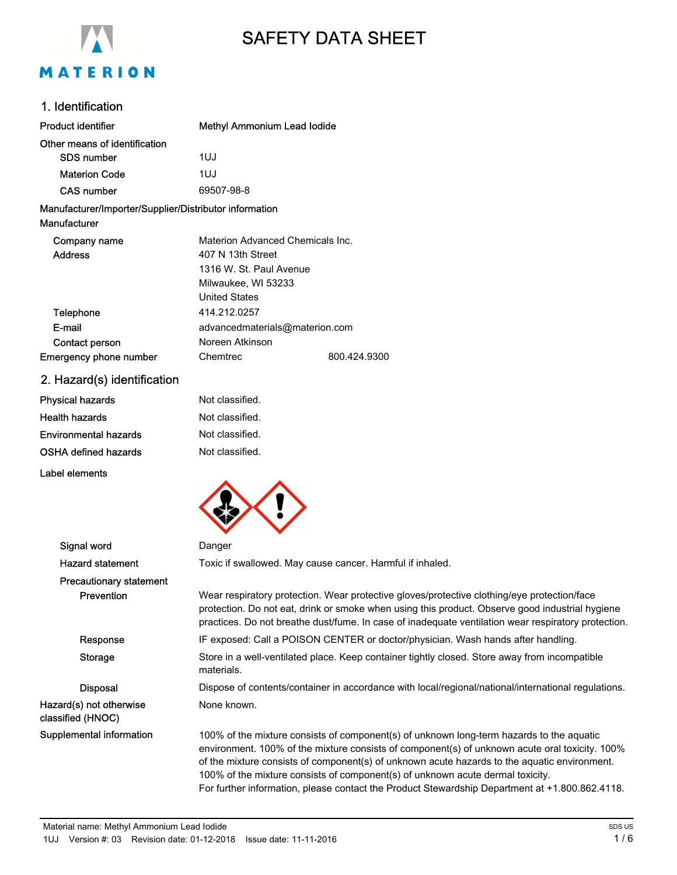

# SAFETY DATA SHEET

## 1. Identification

| <b>Product identifier</b>                                              | <b>Methyl Ammonium Lead lodide</b> |              |
|------------------------------------------------------------------------|------------------------------------|--------------|
| Other means of identification                                          |                                    |              |
| <b>SDS number</b>                                                      | 1UJ                                |              |
| <b>Materion Code</b>                                                   | 1UJ                                |              |
| <b>CAS number</b>                                                      | 69507-98-8                         |              |
| Manufacturer/Importer/Supplier/Distributor information<br>Manufacturer |                                    |              |
| Company name                                                           | Materion Advanced Chemicals Inc.   |              |
| <b>Address</b>                                                         | 407 N 13th Street                  |              |
|                                                                        | 1316 W. St. Paul Avenue            |              |
|                                                                        | Milwaukee, WI 53233                |              |
|                                                                        | <b>United States</b>               |              |
| Telephone                                                              | 414.212.0257                       |              |
| E-mail                                                                 | advancedmaterials@materion.com     |              |
| Contact person                                                         | Noreen Atkinson                    |              |
| Emergency phone number                                                 | Chemtrec                           | 800.424.9300 |
|                                                                        |                                    |              |

2. Hazard(s) identification

| Physical hazards      | Not classified. |
|-----------------------|-----------------|
| Health hazards        | Not classified. |
| Environmental hazards | Not classified. |
| OSHA defined hazards  | Not classified. |
|                       |                 |

Label elements



| Signal word                                  | Danger                                                                                                                                                                                                                                                                                                                                                                                                                                                                         |
|----------------------------------------------|--------------------------------------------------------------------------------------------------------------------------------------------------------------------------------------------------------------------------------------------------------------------------------------------------------------------------------------------------------------------------------------------------------------------------------------------------------------------------------|
| <b>Hazard statement</b>                      | Toxic if swallowed. May cause cancer. Harmful if inhaled.                                                                                                                                                                                                                                                                                                                                                                                                                      |
| <b>Precautionary statement</b>               |                                                                                                                                                                                                                                                                                                                                                                                                                                                                                |
| Prevention                                   | Wear respiratory protection. Wear protective gloves/protective clothing/eye protection/face<br>protection. Do not eat, drink or smoke when using this product. Observe good industrial hygiene<br>practices. Do not breathe dust/fume. In case of inadequate ventilation wear respiratory protection.                                                                                                                                                                          |
| Response                                     | IF exposed: Call a POISON CENTER or doctor/physician. Wash hands after handling.                                                                                                                                                                                                                                                                                                                                                                                               |
| Storage                                      | Store in a well-ventilated place. Keep container tightly closed. Store away from incompatible<br>materials.                                                                                                                                                                                                                                                                                                                                                                    |
| <b>Disposal</b>                              | Dispose of contents/container in accordance with local/regional/national/international regulations.                                                                                                                                                                                                                                                                                                                                                                            |
| Hazard(s) not otherwise<br>classified (HNOC) | None known.                                                                                                                                                                                                                                                                                                                                                                                                                                                                    |
| Supplemental information                     | 100% of the mixture consists of component(s) of unknown long-term hazards to the aquatic<br>environment. 100% of the mixture consists of component(s) of unknown acute oral toxicity. 100%<br>of the mixture consists of component(s) of unknown acute hazards to the aquatic environment.<br>100% of the mixture consists of component(s) of unknown acute dermal toxicity.<br>For further information, please contact the Product Stewardship Department at +1.800.862.4118. |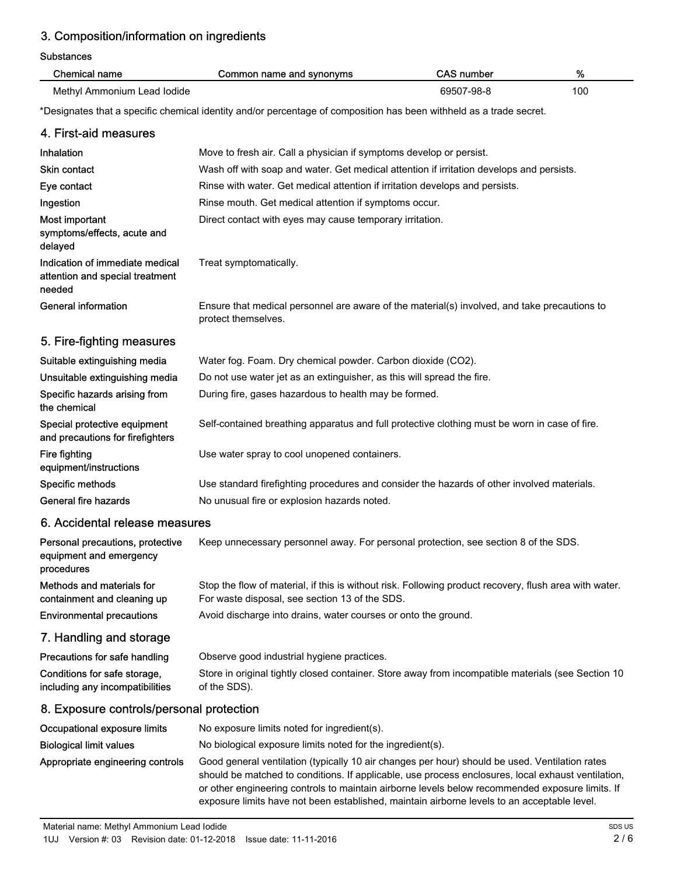# 3. Composition/information on ingredients

Substances

| oupolanuce                                                                   |                                                                                                                                                                                                                                                                                                                                                                                                        |                   |     |
|------------------------------------------------------------------------------|--------------------------------------------------------------------------------------------------------------------------------------------------------------------------------------------------------------------------------------------------------------------------------------------------------------------------------------------------------------------------------------------------------|-------------------|-----|
| <b>Chemical name</b>                                                         | Common name and synonyms                                                                                                                                                                                                                                                                                                                                                                               | <b>CAS number</b> | %   |
| Methyl Ammonium Lead Iodide                                                  |                                                                                                                                                                                                                                                                                                                                                                                                        | 69507-98-8        | 100 |
|                                                                              | *Designates that a specific chemical identity and/or percentage of composition has been withheld as a trade secret.                                                                                                                                                                                                                                                                                    |                   |     |
| 4. First-aid measures                                                        |                                                                                                                                                                                                                                                                                                                                                                                                        |                   |     |
| <b>Inhalation</b>                                                            | Move to fresh air. Call a physician if symptoms develop or persist.                                                                                                                                                                                                                                                                                                                                    |                   |     |
| <b>Skin contact</b>                                                          | Wash off with soap and water. Get medical attention if irritation develops and persists.                                                                                                                                                                                                                                                                                                               |                   |     |
| Eye contact                                                                  | Rinse with water. Get medical attention if irritation develops and persists.                                                                                                                                                                                                                                                                                                                           |                   |     |
| Ingestion                                                                    | Rinse mouth. Get medical attention if symptoms occur.                                                                                                                                                                                                                                                                                                                                                  |                   |     |
| Most important<br>symptoms/effects, acute and<br>delayed                     | Direct contact with eyes may cause temporary irritation.                                                                                                                                                                                                                                                                                                                                               |                   |     |
| Indication of immediate medical<br>attention and special treatment<br>needed | Treat symptomatically.                                                                                                                                                                                                                                                                                                                                                                                 |                   |     |
| <b>General information</b>                                                   | Ensure that medical personnel are aware of the material(s) involved, and take precautions to<br>protect themselves.                                                                                                                                                                                                                                                                                    |                   |     |
| 5. Fire-fighting measures                                                    |                                                                                                                                                                                                                                                                                                                                                                                                        |                   |     |
| Suitable extinguishing media                                                 | Water fog. Foam. Dry chemical powder. Carbon dioxide (CO2).                                                                                                                                                                                                                                                                                                                                            |                   |     |
| Unsuitable extinguishing media                                               | Do not use water jet as an extinguisher, as this will spread the fire.                                                                                                                                                                                                                                                                                                                                 |                   |     |
| Specific hazards arising from<br>the chemical                                | During fire, gases hazardous to health may be formed.                                                                                                                                                                                                                                                                                                                                                  |                   |     |
| Special protective equipment<br>and precautions for firefighters             | Self-contained breathing apparatus and full protective clothing must be worn in case of fire.                                                                                                                                                                                                                                                                                                          |                   |     |
| Fire fighting<br>equipment/instructions                                      | Use water spray to cool unopened containers.                                                                                                                                                                                                                                                                                                                                                           |                   |     |
| Specific methods                                                             | Use standard firefighting procedures and consider the hazards of other involved materials.                                                                                                                                                                                                                                                                                                             |                   |     |
| General fire hazards                                                         | No unusual fire or explosion hazards noted.                                                                                                                                                                                                                                                                                                                                                            |                   |     |
| 6. Accidental release measures                                               |                                                                                                                                                                                                                                                                                                                                                                                                        |                   |     |
| Personal precautions, protective<br>equipment and emergency<br>procedures    | Keep unnecessary personnel away. For personal protection, see section 8 of the SDS.                                                                                                                                                                                                                                                                                                                    |                   |     |
| Methods and materials for<br>containment and cleaning up                     | Stop the flow of material, if this is without risk. Following product recovery, flush area with water.<br>For waste disposal, see section 13 of the SDS.                                                                                                                                                                                                                                               |                   |     |
| <b>Environmental precautions</b>                                             | Avoid discharge into drains, water courses or onto the ground.                                                                                                                                                                                                                                                                                                                                         |                   |     |
| 7. Handling and storage                                                      |                                                                                                                                                                                                                                                                                                                                                                                                        |                   |     |
| Precautions for safe handling                                                | Observe good industrial hygiene practices.                                                                                                                                                                                                                                                                                                                                                             |                   |     |
| Conditions for safe storage,<br>including any incompatibilities              | Store in original tightly closed container. Store away from incompatible materials (see Section 10<br>of the SDS).                                                                                                                                                                                                                                                                                     |                   |     |
| 8. Exposure controls/personal protection                                     |                                                                                                                                                                                                                                                                                                                                                                                                        |                   |     |
| Occupational exposure limits                                                 | No exposure limits noted for ingredient(s).                                                                                                                                                                                                                                                                                                                                                            |                   |     |
| <b>Biological limit values</b>                                               | No biological exposure limits noted for the ingredient(s).                                                                                                                                                                                                                                                                                                                                             |                   |     |
| Appropriate engineering controls                                             | Good general ventilation (typically 10 air changes per hour) should be used. Ventilation rates<br>should be matched to conditions. If applicable, use process enclosures, local exhaust ventilation,<br>or other engineering controls to maintain airborne levels below recommended exposure limits. If<br>exposure limits have not been established, maintain airborne levels to an acceptable level. |                   |     |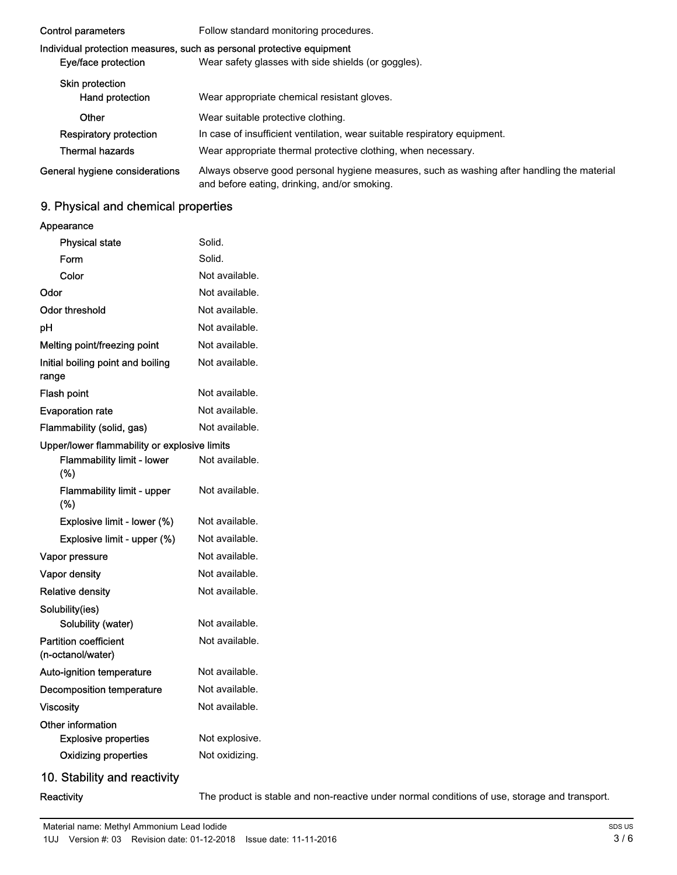| Control parameters                        | Follow standard monitoring procedures.                                                                                                     |
|-------------------------------------------|--------------------------------------------------------------------------------------------------------------------------------------------|
| Eye/face protection                       | Individual protection measures, such as personal protective equipment<br>Wear safety glasses with side shields (or goggles).               |
| <b>Skin protection</b><br>Hand protection | Wear appropriate chemical resistant gloves.                                                                                                |
| Other                                     | Wear suitable protective clothing.                                                                                                         |
| <b>Respiratory protection</b>             | In case of insufficient ventilation, wear suitable respiratory equipment.                                                                  |
| <b>Thermal hazards</b>                    | Wear appropriate thermal protective clothing, when necessary.                                                                              |
| General hygiene considerations            | Always observe good personal hygiene measures, such as washing after handling the material<br>and before eating, drinking, and/or smoking. |

# 9. Physical and chemical properties

### Appearance

| <b>Physical state</b>                             | Solid.                                                                                        |
|---------------------------------------------------|-----------------------------------------------------------------------------------------------|
| Form                                              | Solid.                                                                                        |
| Color                                             | Not available.                                                                                |
| Odor                                              | Not available.                                                                                |
| <b>Odor threshold</b>                             | Not available.                                                                                |
| pH                                                | Not available.                                                                                |
| Melting point/freezing point                      | Not available.                                                                                |
| Initial boiling point and boiling<br>range        | Not available.                                                                                |
| Flash point                                       | Not available.                                                                                |
| <b>Evaporation rate</b>                           | Not available.                                                                                |
| Flammability (solid, gas)                         | Not available.                                                                                |
| Upper/lower flammability or explosive limits      |                                                                                               |
| Flammability limit - lower<br>(%)                 | Not available.                                                                                |
| Flammability limit - upper<br>(%)                 | Not available.                                                                                |
| Explosive limit - lower (%)                       | Not available.                                                                                |
| Explosive limit - upper (%)                       | Not available.                                                                                |
| Vapor pressure                                    | Not available.                                                                                |
| Vapor density                                     | Not available.                                                                                |
| <b>Relative density</b>                           | Not available.                                                                                |
| Solubility(ies)                                   |                                                                                               |
| Solubility (water)                                | Not available.                                                                                |
| <b>Partition coefficient</b><br>(n-octanol/water) | Not available.                                                                                |
| Auto-ignition temperature                         | Not available.                                                                                |
| <b>Decomposition temperature</b>                  | Not available.                                                                                |
| <b>Viscosity</b>                                  | Not available.                                                                                |
| Other information<br><b>Explosive properties</b>  | Not explosive.                                                                                |
| <b>Oxidizing properties</b>                       | Not oxidizing.                                                                                |
| 10. Stability and reactivity                      |                                                                                               |
| Reactivity                                        | The product is stable and non-reactive under normal conditions of use, storage and transport. |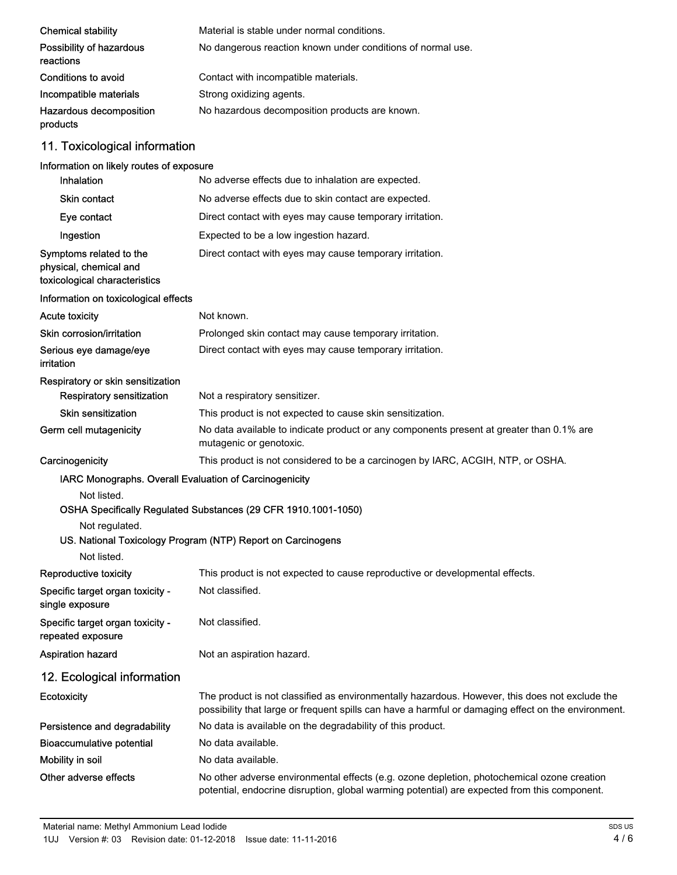| <b>Chemical stability</b>             | Material is stable under normal conditions.                 |
|---------------------------------------|-------------------------------------------------------------|
| Possibility of hazardous<br>reactions | No dangerous reaction known under conditions of normal use. |
| Conditions to avoid                   | Contact with incompatible materials.                        |
| Incompatible materials                | Strong oxidizing agents.                                    |
| Hazardous decomposition<br>products   | No hazardous decomposition products are known.              |

# 11. Toxicological information

# Information on likely routes of exposure

| Inhalation                                                                                             | No adverse effects due to inhalation are expected.                                                                                                                                                    |  |
|--------------------------------------------------------------------------------------------------------|-------------------------------------------------------------------------------------------------------------------------------------------------------------------------------------------------------|--|
| <b>Skin contact</b>                                                                                    | No adverse effects due to skin contact are expected.                                                                                                                                                  |  |
| Eye contact                                                                                            | Direct contact with eyes may cause temporary irritation.                                                                                                                                              |  |
| Ingestion                                                                                              | Expected to be a low ingestion hazard.                                                                                                                                                                |  |
| Symptoms related to the<br>physical, chemical and<br>toxicological characteristics                     | Direct contact with eyes may cause temporary irritation.                                                                                                                                              |  |
| Information on toxicological effects                                                                   |                                                                                                                                                                                                       |  |
| <b>Acute toxicity</b>                                                                                  | Not known.                                                                                                                                                                                            |  |
| Skin corrosion/irritation                                                                              | Prolonged skin contact may cause temporary irritation.                                                                                                                                                |  |
| Serious eye damage/eye<br>irritation                                                                   | Direct contact with eyes may cause temporary irritation.                                                                                                                                              |  |
| Respiratory or skin sensitization                                                                      |                                                                                                                                                                                                       |  |
| Respiratory sensitization                                                                              | Not a respiratory sensitizer.                                                                                                                                                                         |  |
| Skin sensitization                                                                                     | This product is not expected to cause skin sensitization.                                                                                                                                             |  |
| Germ cell mutagenicity                                                                                 | No data available to indicate product or any components present at greater than 0.1% are<br>mutagenic or genotoxic.                                                                                   |  |
| Carcinogenicity                                                                                        | This product is not considered to be a carcinogen by IARC, ACGIH, NTP, or OSHA.                                                                                                                       |  |
| IARC Monographs. Overall Evaluation of Carcinogenicity<br>Not listed.<br>Not regulated.<br>Not listed. | OSHA Specifically Regulated Substances (29 CFR 1910.1001-1050)<br>US. National Toxicology Program (NTP) Report on Carcinogens                                                                         |  |
| Reproductive toxicity                                                                                  | This product is not expected to cause reproductive or developmental effects.                                                                                                                          |  |
| Specific target organ toxicity -<br>single exposure                                                    | Not classified.                                                                                                                                                                                       |  |
| Specific target organ toxicity -<br>repeated exposure                                                  | Not classified.                                                                                                                                                                                       |  |
| <b>Aspiration hazard</b>                                                                               | Not an aspiration hazard.                                                                                                                                                                             |  |
| 12. Ecological information                                                                             |                                                                                                                                                                                                       |  |
| <b>Ecotoxicity</b>                                                                                     | The product is not classified as environmentally hazardous. However, this does not exclude the<br>possibility that large or frequent spills can have a harmful or damaging effect on the environment. |  |
| Persistence and degradability                                                                          | No data is available on the degradability of this product.                                                                                                                                            |  |
| <b>Bioaccumulative potential</b>                                                                       | No data available.                                                                                                                                                                                    |  |
| Mobility in soil                                                                                       | No data available.                                                                                                                                                                                    |  |
| Other adverse effects                                                                                  | No other adverse environmental effects (e.g. ozone depletion, photochemical ozone creation<br>potential, endocrine disruption, global warming potential) are expected from this component.            |  |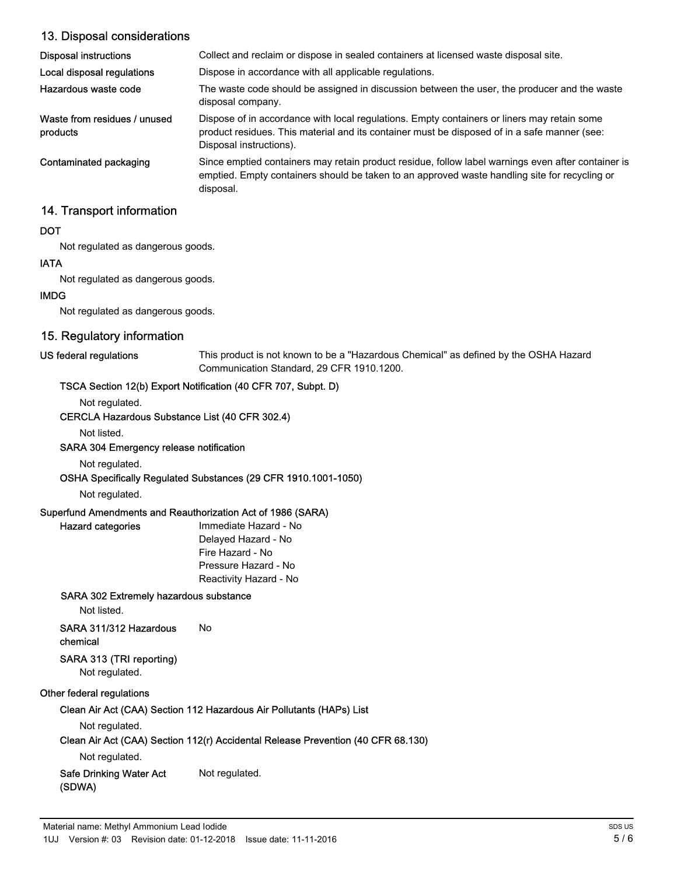## 13. Disposal considerations

| Disposal instructions                    | Collect and reclaim or dispose in sealed containers at licensed waste disposal site.                                                                                                                                   |
|------------------------------------------|------------------------------------------------------------------------------------------------------------------------------------------------------------------------------------------------------------------------|
| Local disposal regulations               | Dispose in accordance with all applicable regulations.                                                                                                                                                                 |
| Hazardous waste code                     | The waste code should be assigned in discussion between the user, the producer and the waste<br>disposal company.                                                                                                      |
| Waste from residues / unused<br>products | Dispose of in accordance with local regulations. Empty containers or liners may retain some<br>product residues. This material and its container must be disposed of in a safe manner (see:<br>Disposal instructions). |
| Contaminated packaging                   | Since emptied containers may retain product residue, follow label warnings even after container is<br>emptied. Empty containers should be taken to an approved waste handling site for recycling or<br>disposal.       |

### 14. Transport information

#### **DOT**

Not regulated as dangerous goods.

#### IATA

Not regulated as dangerous goods.

#### IMDG

Not regulated as dangerous goods.

# 15. Regulatory information

#### US federal regulations

This product is not known to be a "Hazardous Chemical" as defined by the OSHA Hazard Communication Standard, 29 CFR 1910.1200.

### TSCA Section 12(b) Export Notification (40 CFR 707, Subpt. D)

Not regulated.

#### CERCLA Hazardous Substance List (40 CFR 302.4)

#### Not listed.

#### SARA 304 Emergency release notification

Not regulated.

#### OSHA Specifically Regulated Substances (29 CFR 1910.1001-1050)

Not regulated.

Hazard categories

#### Superfund Amendments and Reauthorization Act of 1986 (SARA)

Immediate Hazard - No Delayed Hazard - No Fire Hazard - No Pressure Hazard - No Reactivity Hazard - No

#### SARA 302 Extremely hazardous substance

Not listed.

# SARA 311/312 Hazardous No

# chemical

## SARA 313 (TRI reporting)

Not regulated.

## Other federal regulations

Clean Air Act (CAA) Section 112 Hazardous Air Pollutants (HAPs) List

#### Not regulated.

## Clean Air Act (CAA) Section 112(r) Accidental Release Prevention (40 CFR 68.130)

Not regulated.

# Safe Drinking Water Act Not regulated.

(SDWA)